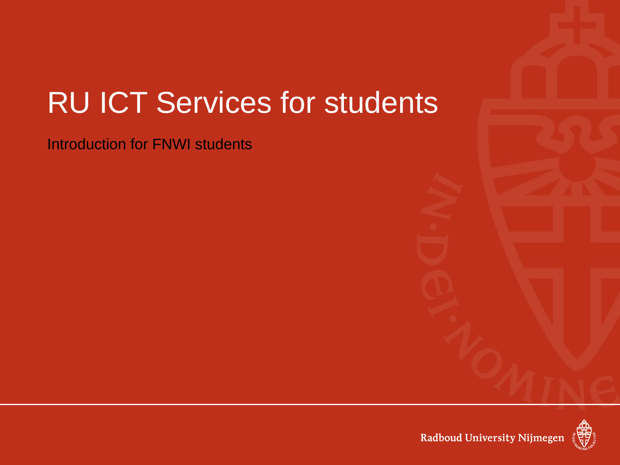# RU ICT Services for students

Introduction for FNWI students



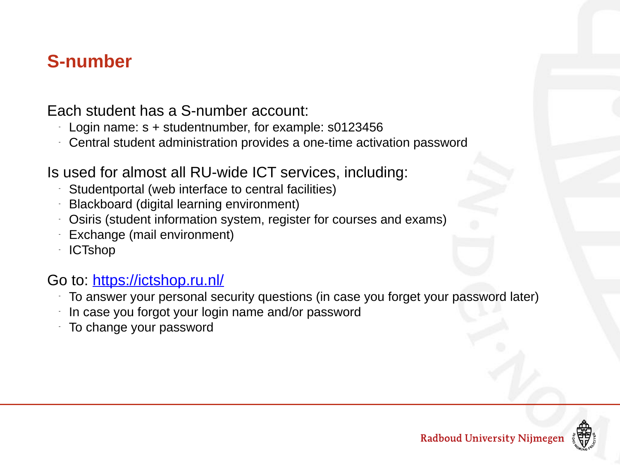#### **S-number**

Each student has a S-number account:

- Login name:  $s +$  studentnumber, for example:  $s0123456$
- Central student administration provides a one-time activation password

Is used for almost all RU-wide ICT services, including:

- Studentportal (web interface to central facilities)
- Blackboard (digital learning environment)
- Osiris (student information system, register for courses and exams)
- Exchange (mail environment)
- **ICTshop**

#### Go to: https://ictshop.ru.nl/

- To answer your personal security questions (in case you forget your password later)
- In case you forgot your login name and/or password
- To change your password

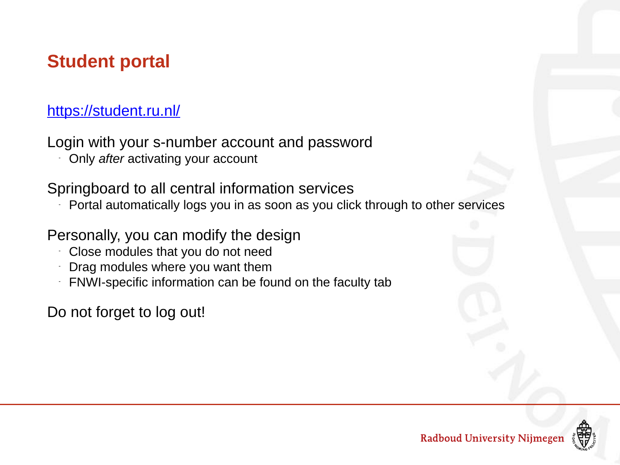# **Student portal**

#### https://student.ru.nl/

Login with your s-number account and password

- Only *after* activating your account

Springboard to all central information services

Portal automatically logs you in as soon as you click through to other services

Personally, you can modify the design

- Close modules that you do not need
- Drag modules where you want them
- FNWI-specific information can be found on the faculty tab

Do not forget to log out!

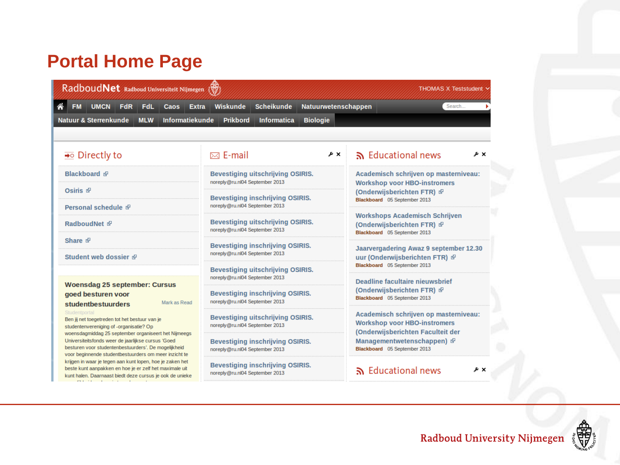# **Portal Home Page**

| RadboudNet Radboud Universiteit Nijmegen<br>"<br><b>FM</b><br>UMCN FdR<br>FdL<br><b>Extra</b><br>Caos                                                                                                                       | Wiskunde<br>Natuurwetenschappen<br><b>Scheikunde</b>                                                         | Search                                                                                                                                                                          |  |  |
|-----------------------------------------------------------------------------------------------------------------------------------------------------------------------------------------------------------------------------|--------------------------------------------------------------------------------------------------------------|---------------------------------------------------------------------------------------------------------------------------------------------------------------------------------|--|--|
| <b>Natuur &amp; Sterrenkunde</b><br><b>Informatiekunde</b><br><b>MLW</b>                                                                                                                                                    | <b>Biologie</b><br><b>Prikbord</b><br><b>Informatica</b>                                                     |                                                                                                                                                                                 |  |  |
| $\rightarrow \circ$ Directly to                                                                                                                                                                                             | $\boxtimes$ E-mail<br>۶×                                                                                     | news Educational news<br>eχ                                                                                                                                                     |  |  |
| <b>Blackboard</b> &                                                                                                                                                                                                         | <b>Bevestiging uitschrijving OSIRIS.</b><br>noreply@ru.nl04 September 2013                                   | Academisch schrijven op masterniveau:<br><b>Workshop voor HBO-instromers</b><br>(Onderwijsberichten FTR) &<br>Blackboard 05 September 2013                                      |  |  |
| Osiris &                                                                                                                                                                                                                    | <b>Bevestiging inschrijving OSIRIS.</b>                                                                      |                                                                                                                                                                                 |  |  |
| Personal schedule &<br>RadboudNet &                                                                                                                                                                                         | noreply@ru.nl04 September 2013<br><b>Bevestiging uitschrijving OSIRIS.</b><br>noreply@ru.nl04 September 2013 | <b>Workshops Academisch Schrijven</b><br>(Onderwijsberichten FTR) &<br>Blackboard 05 September 2013                                                                             |  |  |
| Share <sup>配</sup><br>Student web dossier &                                                                                                                                                                                 | <b>Bevestiging inschrijving OSIRIS.</b><br>noreply@ru.nl04 September 2013                                    | Jaarvergadering Awaz 9 september 12.30<br>uur (Onderwijsberichten FTR) &                                                                                                        |  |  |
|                                                                                                                                                                                                                             | <b>Bevestiging uitschrijving OSIRIS.</b><br>noreply@ru.nl04 September 2013                                   | Blackboard 05 September 2013                                                                                                                                                    |  |  |
| <b>Woensdag 25 september: Cursus</b><br>goed besturen voor<br>Mark as Read<br>studentbestuurders                                                                                                                            | <b>Bevestiging inschrijving OSIRIS.</b><br>noreply@ru.nl04 September 2013                                    | Deadline facultaire nieuwsbrief<br>(Onderwijsberichten FTR) &<br>Blackboard 05 September 2013                                                                                   |  |  |
| Studentportal<br>Ben jij net toegetreden tot het bestuur van je<br>studentenvereniging of -organisatie? Op                                                                                                                  | <b>Bevestiging uitschrijving OSIRIS.</b><br>noreply@ru.nl04 September 2013                                   | Academisch schrijven op masterniveau:<br><b>Workshop voor HBO-instromers</b><br>(Onderwijsberichten Faculteit der<br>Managementwetenschappen) &<br>Blackboard 05 September 2013 |  |  |
| woensdagmiddag 25 september organiseert het Nijmeegs<br>Universiteitsfonds weer de jaarlijkse cursus 'Goed<br>besturen voor studentenbestuurders'. De mogelijkheid<br>voor beginnende studentbestuurders om meer inzicht te | <b>Bevestiging inschrijving OSIRIS.</b><br>noreply@ru.nl04 September 2013                                    |                                                                                                                                                                                 |  |  |
| krijgen in waar je tegen aan kunt lopen, hoe je zaken het<br>beste kunt aanpakken en hoe je er zelf het maximale uit<br>kunt halen. Daarnaast biedt deze cursus ie ook de unieke                                            | <b>Bevestiging inschrijving OSIRIS.</b><br>noreply@ru.nl04 September 2013                                    | n Educational news<br>۶×                                                                                                                                                        |  |  |

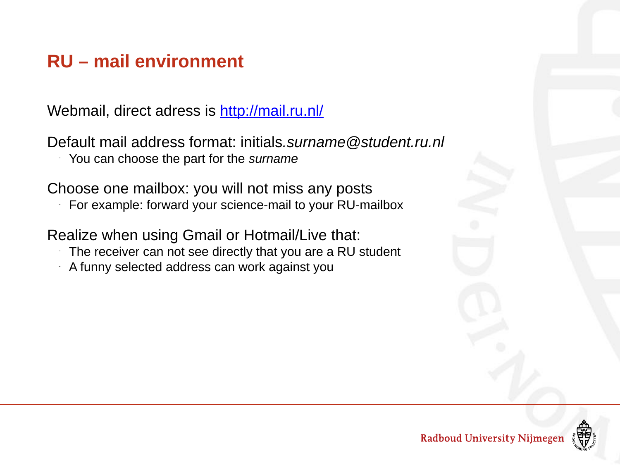## **RU – mail environment**

Webmail, direct adress is http://mail.ru.nl/

Default mail address format: initials*.surname@student.ru.nl*

- You can choose the part for the *surname*

Choose one mailbox: you will not miss any posts

For example: forward your science-mail to your RU-mailbox

Realize when using Gmail or Hotmail/Live that:

- The receiver can not see directly that you are a RU student
- A funny selected address can work against you

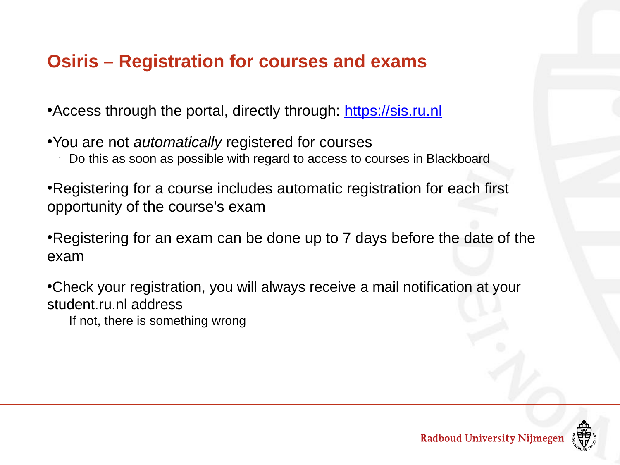## **Osiris – Registration for courses and exams**

• Access through the portal, directly through: https://sis.ru.nl

•You are not *automatically* registered for courses

Do this as soon as possible with regard to access to courses in Blackboard

•Registering for a course includes automatic registration for each first opportunity of the course's exam

•Registering for an exam can be done up to 7 days before the date of the exam

•Check your registration, you will always receive a mail notification at your student.ru.nl address

- If not, there is something wrong

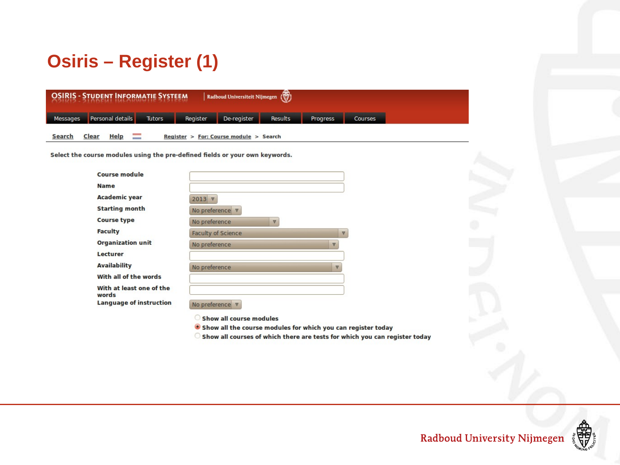# **Osiris – Register (1)**

|               | <b>OSIRIS - STUDENT INFORMATIE SYSTEEM</b> |        |          | Radboud Universiteit Nijmegen          |         |                 |                |
|---------------|--------------------------------------------|--------|----------|----------------------------------------|---------|-----------------|----------------|
| Messages      | <b>Personal details</b>                    | Tutors | Register | De-register                            | Results | <b>Progress</b> | <b>Courses</b> |
| <b>Search</b> | <b>Help</b><br><b>Clear</b>                |        |          | Register > For: Course module > Search |         |                 |                |

Select the course modules using the pre-defined fields or your own keywords.

| <b>Course module</b>              |                                          |          |
|-----------------------------------|------------------------------------------|----------|
| <b>Name</b>                       |                                          |          |
| <b>Academic year</b>              | $2013$ $\nabla$                          |          |
| <b>Starting month</b>             | No preference $\nabla$                   |          |
| <b>Course type</b>                | No preference<br>V                       |          |
| <b>Faculty</b>                    | <b>Faculty of Science</b>                | $\nabla$ |
| <b>Organization unit</b>          | No preference<br>$\nabla$                |          |
| Lecturer                          |                                          |          |
| <b>Availability</b>               | No preference<br>$\overline{\mathbf{v}}$ |          |
| With all of the words             |                                          |          |
| With at least one of the<br>words |                                          |          |
| <b>Language of instruction</b>    | No preference $\nabla$                   |          |

Show all course modules

- Show all the course modules for which you can register today
- Show all courses of which there are tests for which you can register today

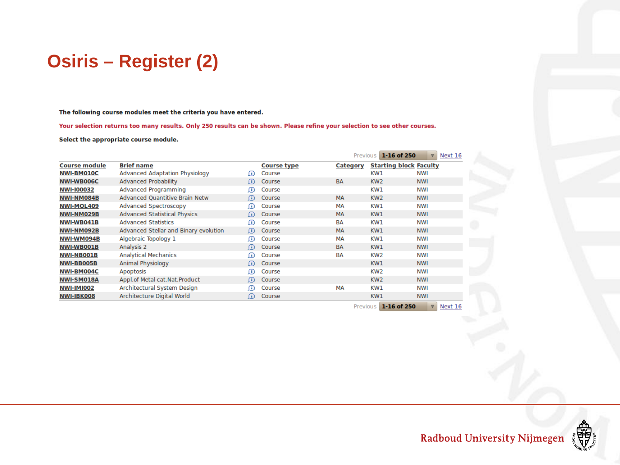## **Osiris – Register (2)**

The following course modules meet the criteria you have entered.

Your selection returns too many results. Only 250 results can be shown. Please refine your selection to see other courses.

Select the appropriate course module.

|                      |                                       |                   |                    | Previous        | $1 - 16$ of 250 | $\triangledown$<br>Next 16    |
|----------------------|---------------------------------------|-------------------|--------------------|-----------------|-----------------|-------------------------------|
| <b>Course module</b> | <b>Brief name</b>                     |                   | <b>Course type</b> | <b>Category</b> |                 | <b>Starting block Faculty</b> |
| <b>NWI-BM010C</b>    | Advanced Adaptation Physiology        | $\mathbf{u}$      | Course             |                 | KW1             | NWI                           |
| <b>NWI-WB006C</b>    | <b>Advanced Probability</b>           | (i)               | Course             | <b>BA</b>       | KW <sub>2</sub> | <b>NWI</b>                    |
| <b>NWI-100032</b>    | <b>Advanced Programming</b>           | $\bf{r}$          | Course             |                 | KW1             | NWI                           |
| NWI-NM084B           | <b>Advanced Quantitive Brain Netw</b> | (i)               | Course             | <b>MA</b>       | KW <sub>2</sub> | <b>NWI</b>                    |
| <b>NWI-MOL409</b>    | Advanced Spectroscopy                 | $\bf{r}$          | Course             | MА              | KW1             | NWI                           |
| NWI-NM029B           | <b>Advanced Statistical Physics</b>   | (i)               | Course             | <b>MA</b>       | KW1             | <b>NWI</b>                    |
| NWI-WB041B           | <b>Advanced Statistics</b>            | $\bf{f}$          | Course             | BA              | KW1             | NWI                           |
| NWI-NM092B           | Advanced Stellar and Binary evolution | (i)               | Course             | <b>MA</b>       | KW1             | <b>NWI</b>                    |
| NWI-WM094B           | Algebraic Topology 1                  | $\bf{r}$          | Course             | MА              | KW1             | NWI                           |
| <b>NWI-WB001B</b>    | Analysis 2                            | (i)               | Course             | <b>BA</b>       | KW1             | <b>NWI</b>                    |
| <b>NWI-NB001B</b>    | <b>Analytical Mechanics</b>           | $\left( i\right)$ | Course             | BA              | KW <sub>2</sub> | NWI                           |
| <b>NWI-BB005B</b>    | Animal Physiology                     | (i)               | Course             |                 | KW1             | <b>NWI</b>                    |
| NWI-BM004C           | Apoptosis                             | (i)               | Course             |                 | KW <sub>2</sub> | NWI                           |
| <b>NWI-SM018A</b>    | Appl.of Metal-cat.Nat.Product         | (i)               | Course             |                 | KW <sub>2</sub> | <b>NWI</b>                    |
| <b>NWI-IMI002</b>    | Architectural System Design           | (i)               | Course             | MА              | KW1             | NWI                           |
| NWI-IBK008           | Architecture Digital World            | (i)               | Course             |                 | KW1             | <b>NWI</b>                    |
|                      |                                       |                   |                    | Previous        | 1-16 of 250     | $\triangledown$<br>Next 16    |

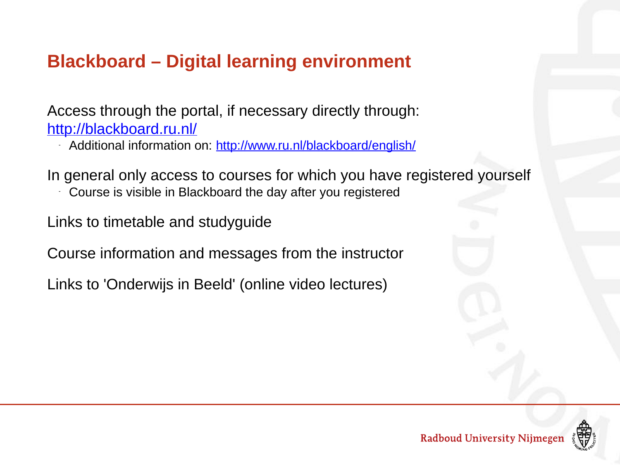# **Blackboard – Digital learning environment**

Access through the portal, if necessary directly through: http://blackboard.ru.nl/

- Additional information on: http://www.ru.nl/blackboard/english/

In general only access to courses for which you have registered yourself

Course is visible in Blackboard the day after you registered

Links to timetable and studyguide

Course information and messages from the instructor

Links to 'Onderwijs in Beeld' (online video lectures)

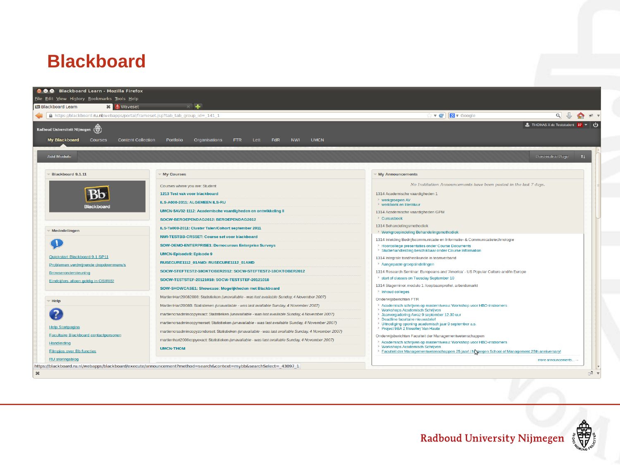#### **Blackboard**

| File Edit View History Bookmarks Tools Help<br><b>BB Blackboard Learn</b><br><b>※   ❺</b> Waveset | $\times$ $+$                                                                                          |                                                                                                                                   |                                                                 |
|---------------------------------------------------------------------------------------------------|-------------------------------------------------------------------------------------------------------|-----------------------------------------------------------------------------------------------------------------------------------|-----------------------------------------------------------------|
| △ https://blackboard.ru.nl/webapps/portal/frameset.jsp?tab_tab_group_id=_141_1                    |                                                                                                       | $\mathbf{v}$ $\mathbf{C}$ $\mathbf{8}$ $\mathbf{v}$ Google                                                                        | $Q \cup \leftarrow \leftarrow \leftarrow \leftarrow \leftarrow$ |
| Radboud Universiteit Nijmegen $\{\overline{S}\}$                                                  |                                                                                                       |                                                                                                                                   | THOMAS X de Teststudent $37 \times 1$                           |
| <b>My Blackboard</b><br><b>Courses</b><br><b>Content Collection</b>                               | <b>UMCN</b><br><b>FdR</b><br><b>NWI</b><br>Portfolio<br>Organisations<br>FTR.<br>Lett                 |                                                                                                                                   |                                                                 |
| <b>Add Module</b>                                                                                 |                                                                                                       |                                                                                                                                   | Personalise Page<br>11                                          |
| Blackboard 9.1.11                                                                                 | <b>My Courses</b>                                                                                     | <b>My Announcements</b>                                                                                                           |                                                                 |
|                                                                                                   | Courses where you are: Student                                                                        | No Institution Announcements have been posted in the last 7 days.                                                                 |                                                                 |
|                                                                                                   | 1213 Test vak voor blackboard                                                                         | 1314 Academische vaardigheden 1                                                                                                   |                                                                 |
|                                                                                                   | ILS-A000-2011: ALGEMEEN ILS-RU                                                                        | > werkgroepen AV<br>> werkboek en literatuur                                                                                      |                                                                 |
| <b>Blackboard</b>                                                                                 | UMCN-5AV02-1112: Academische vaardigheden en ontwikkeling II                                          | 1314 Academische vaardigheden GPM                                                                                                 |                                                                 |
|                                                                                                   | SOCW-BEROEPENDAG2012: BEROEPENDAG2012                                                                 | > Cursusboek                                                                                                                      |                                                                 |
|                                                                                                   | ILS-Ta008-2011: Cluster Talen/Cohort september 2011                                                   | 1314 Behandelingsmethodiek                                                                                                        |                                                                 |
| Mededelingen                                                                                      | NWI-TESTBB-CRSSET: Course set voor blackboard                                                         | > Werkgroepindeling Behandelingsmethodiek                                                                                         |                                                                 |
|                                                                                                   | <b>SOW-DEMO-ENTERPRISE1: Democursus Enterprise Surveys</b>                                            | 1314 Inleiding Bedrijfscommunicatie en Informatie- & Communicatietechnologie<br>> Hoorcollege presentaties onder Course Documents |                                                                 |
|                                                                                                   | <b>UMCN-Episode9: Episode 9</b>                                                                       | > Studiehandleiding beschikbaar onder Course Information                                                                          |                                                                 |
| Quickstart Blackboard 9.1 SP11                                                                    | RUSECURE1112 01AMD: RUSECURE1112 01AMD                                                                | 1314 Integrale tandheelkunde in teamverband<br>> Aangepaste groepsindelingen                                                      |                                                                 |
| Problemen verdwijnende dropdownmenu's<br>Browserondersteuning                                     | SOCW-STEFTEST2-18OKTOBER2012: SOCW-STEFTEST2-18OKTOBER2012                                            | 1314 Research Seminar: Europeans and 'America' - US Popular Culture and/in Europe                                                 |                                                                 |
| Eindcijfers alleen geldig in OSIRIS!                                                              | SOCW-TESTSTEF-20121018: SOCW-TESTSTEF-20121018                                                        | > start of classes on Tuesday September 10                                                                                        |                                                                 |
|                                                                                                   | SOW-SHOWCASE1: Showcase: Mogelijkheden met Blackboard                                                 | 1314 Stageminor, module 1: loopbaanprofiel, arbeidsmarkt                                                                          |                                                                 |
|                                                                                                   | MartienHart20082008: Statistieken (unavailable - was last available Sunday, 4 November 2007)          | > Inhoud colleges                                                                                                                 |                                                                 |
| Help *                                                                                            | MartienHart2008B: Statistieken (unavailable - was last available Sunday, 4 November 2007)             | Onderwijsberichten FTR<br>> Academisch schrijven op masterniveau: Workshop voor HBO-instromers                                    |                                                                 |
|                                                                                                   | martiencrsadmincopyexact: Statistieken (unavailable - was last available Sunday, 4 November 2007)     | > Workshops Academisch Schrijven<br>> Jaarvergadering Awaz 9 september 12.30 uur                                                  |                                                                 |
|                                                                                                   | martiencrsadmincopymerset: Statistieken (unavailable - was last available Sunday, 4 November 2007)    | > Deadline facultaire nieuwsbrief<br>> Uitnodiging opening academisch jaar 9 september a.s.                                       |                                                                 |
| <b>Help Startpagina</b>                                                                           | martiencrsadmincopyzonderset: Statistieken (unavailable - was last available Sunday, 4 November 2007) | > Project 9BA 2 filosofie) Van Haute                                                                                              |                                                                 |
| Facultaire Blackboard contactpersonen                                                             | martienhart2008copyexact: Statistieken (unavailable - was last available Sunday, 4 November 2007)     | Onderwijsberichten Faculteit der Managementwetenschappen                                                                          |                                                                 |
| Handleiding                                                                                       | <b>UMCN-THOM</b>                                                                                      | > Academisch schrijven op masterniveau: Workshop voor HBO-instromers<br>> Workshops Academisch Schrijven                          |                                                                 |
| <b>Filmpies over Bb functies</b>                                                                  |                                                                                                       | > Faculteit der Managementwetenschappen 25 jaar! / N megen School of Management 25th anniversary!                                 |                                                                 |
| <b>RU storingsblog</b>                                                                            |                                                                                                       |                                                                                                                                   | more announcements $\rightarrow$                                |

的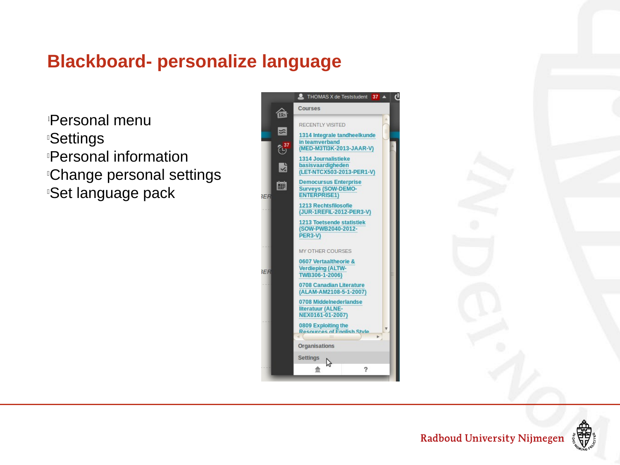### **Blackboard- personalize language**

<sup>l</sup>Personal menu *<b>ISettings* **Personal information Change personal settings Set language pack** 





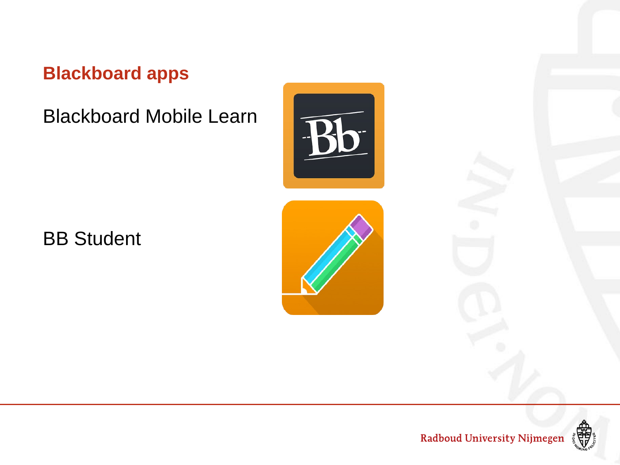### **Blackboard apps**

Blackboard Mobile Learn

BB Student





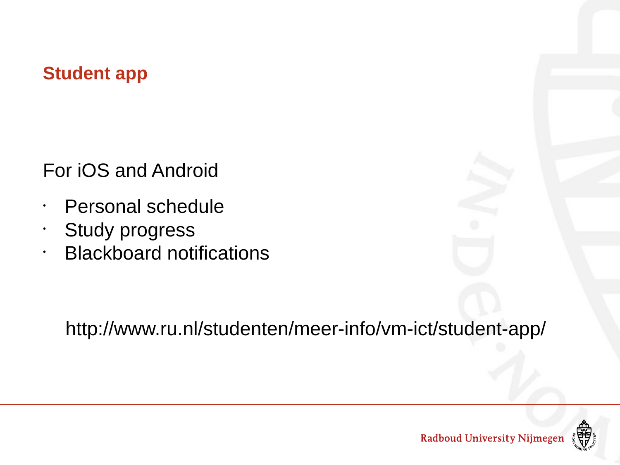#### **Student app**

For iOS and Android

- Personal schedule
- Study progress
- Blackboard notifications

http://www.ru.nl/studenten/meer-info/vm-ict/student-app/

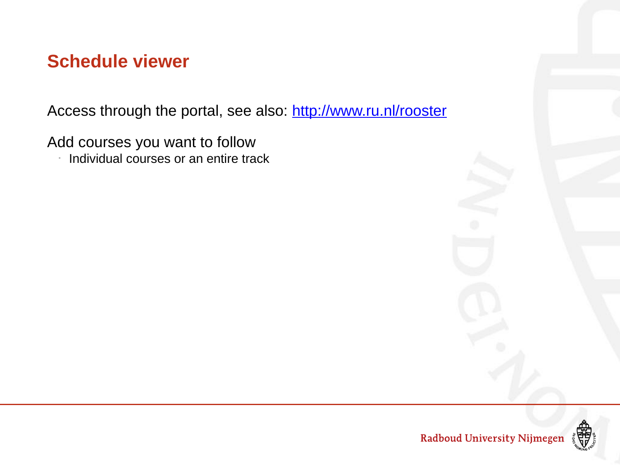#### **Schedule viewer**

Access through the portal, see also: http://www.ru.nl/rooster

Add courses you want to follow

- Individual courses or an entire track